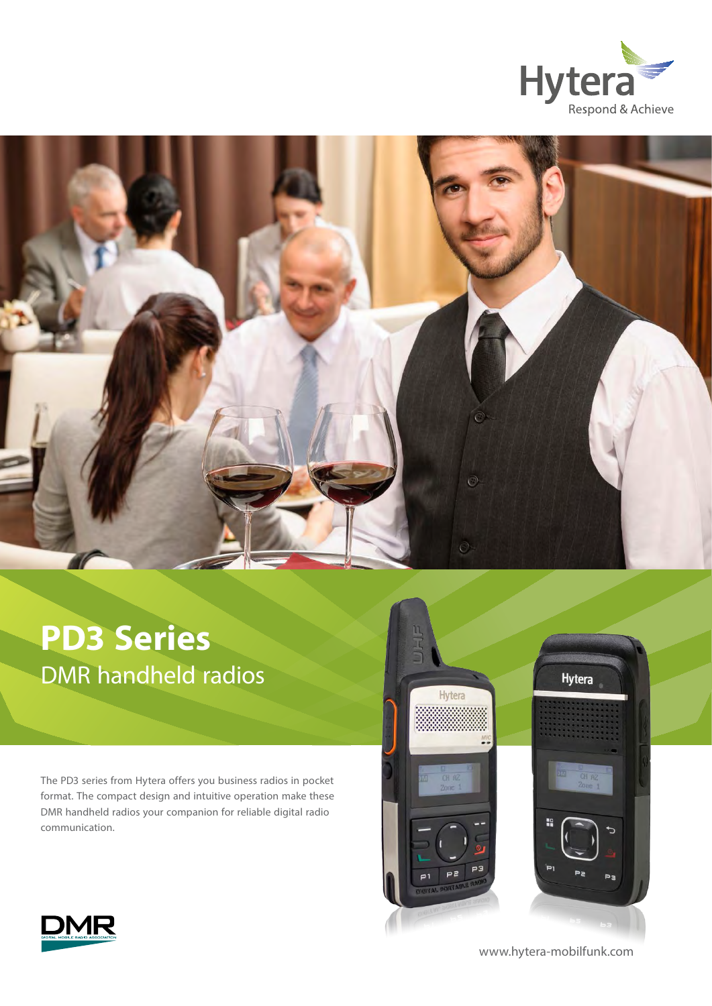



# **PD3 Series**  DMR handheld radios

The PD3 series from Hytera offers you business radios in pocket format. The compact design and intuitive operation make these DMR handheld radios your companion for reliable digital radio communication.





www.hytera-mobilfunk.com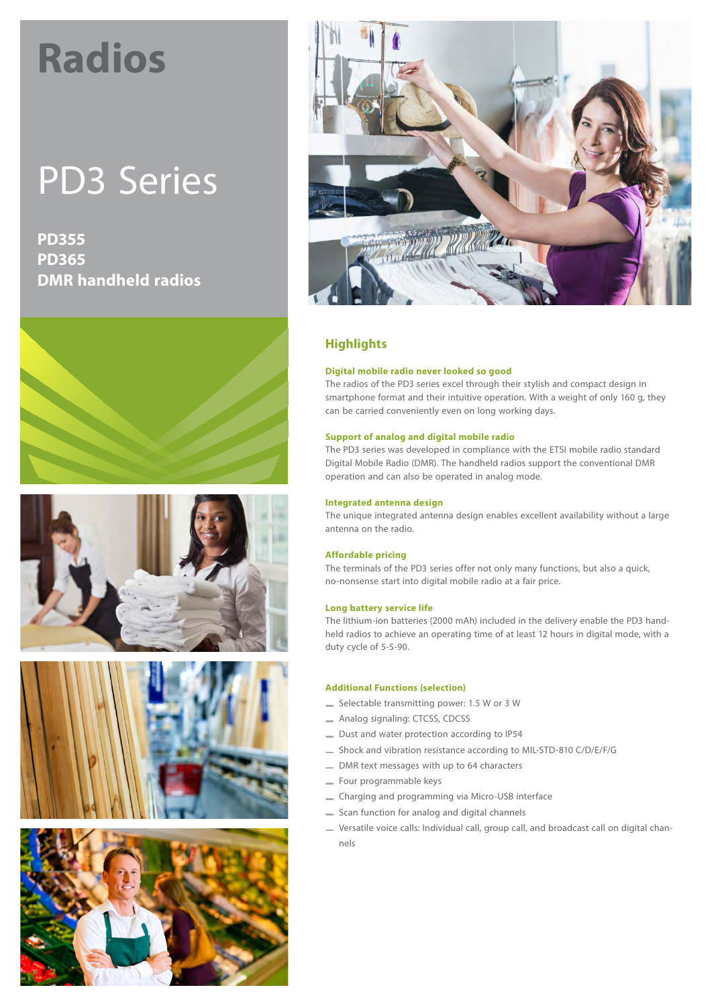# **Radios**

# PD3 Series

**PD355 PD365 DMR handheld radios**











# **Highlights**

#### **Digital mobile radio never looked so good**

The radios of the PD3 series excel through their stylish and compact design in smartphone format and their intuitive operation. With a weight of only 160 g, they can be carried conveniently even on long working days.

#### **Support of analog and digital mobile radio**

The PD3 series was developed in compliance with the ETSI mobile radio standard Digital Mobile Radio (DMR). The handheld radios support the conventional DMR operation and can also be operated in analog mode.

#### **Integrated antenna design**

The unique integrated antenna design enables excellent availability without a large antenna on the radio.

#### **Affordable pricing**

The terminals of the PD3 series offer not only many functions, but also a quick, no-nonsense start into digital mobile radio at a fair price.

#### **Long battery service life**

The lithium-ion batteries (2000 mAh) included in the delivery enable the PD3 handheld radios to achieve an operating time of at least 12 hours in digital mode, with a duty cycle of 5-5-90.

#### **Additional Functions (selection)**

- Selectable transmitting power: 1.5 W or 3 W
- Analog signaling: CTCSS, CDCSS
- Dust and water protection according to IP54
- Shock and vibration resistance according to MIL-STD-810 C/D/E/F/G
- DMR text messages with up to 64 characters
- Four programmable keys
- Charging and programming via Micro-USB interface
- Scan function for analog and digital channels
- Versatile voice calls: Individual call, group call, and broadcast call on digital channels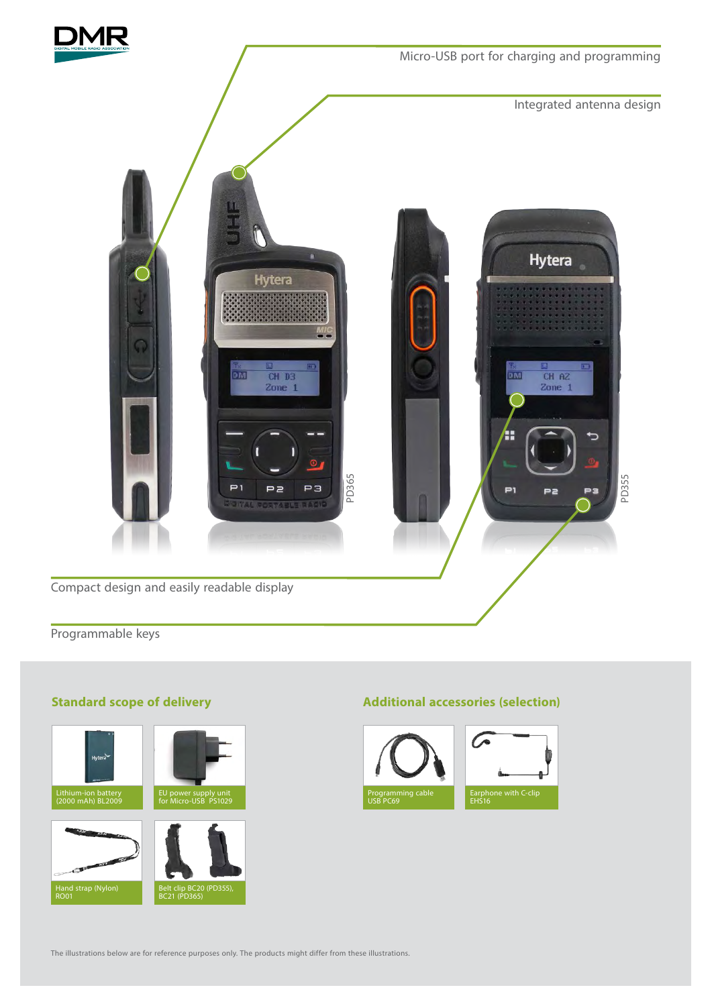

Micro-USB port for charging and programming

Integrated antenna design



Programmable keys

# **Standard scope of delivery**



### **Additional accessories (selection)**



The illustrations below are for reference purposes only. The products might differ from these illustrations.